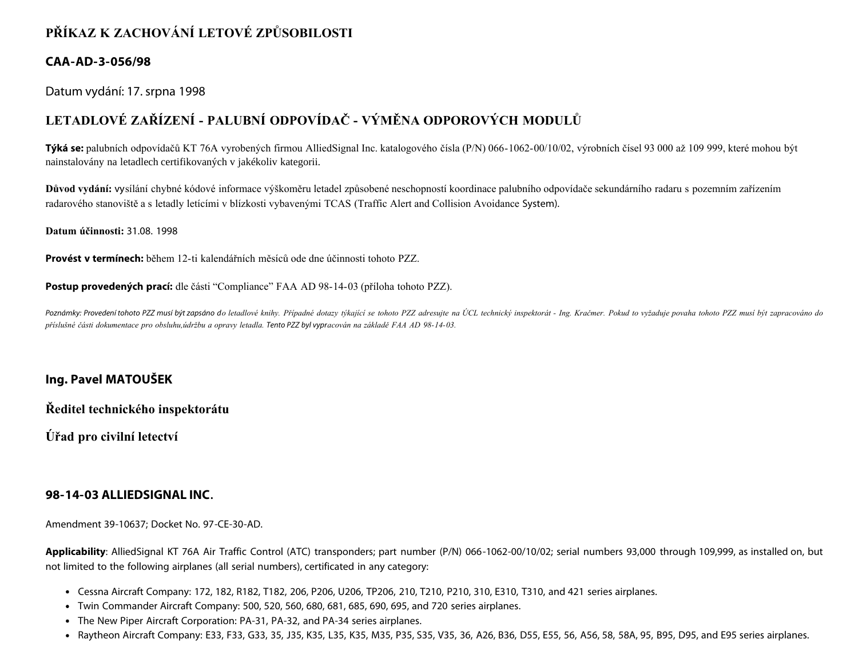## **PŘÍKAZ K ZACHOVÁNÍ LETOVÉ ZPŮSOBILOSTI**

#### **CAA-AD-3-056/98**

Datum vydání: 17. srpna 1998

# **LETADLOVÉ ZAŘÍZENÍ - PALUBNÍ ODPOVÍDAČ - VÝMĚNA ODPOROVÝCH MODULŮ**

**Týká se:** palubních odpovídačů KT 76A vyrobených firmou AlliedSignal Inc. katalogového čísla (P/N) 066-1062-00/10/02, výrobních čísel 93 000 až 109 999, které mohou být nainstalovány na letadlech certifikovaných v jakékoliv kategorii.

**Důvod vydání:** vysílání chybné kódové informace výškoměru letadel způsobené neschopností koordinace palubního odpovídače sekundárního radaru s pozemním zařízením radarového stanoviště a s letadly letícími v blízkosti vybavenými TCAS (Traffic Alert and Collision Avoidance System).

**Datum účinnosti:** 31.08. 1998

**Provést v termínech:** během 12-ti kalendářních měsíců ode dne účinnosti tohoto PZZ.

**Postup provedených prací:** dle části "Compliance" FAA AD 98-14-03 (příloha tohoto PZZ).

Poznámky: Provedení tohoto PZZ musí být zapsáno do letadlové knihy. Případné dotazy týkající se tohoto PZZ adresujte na ÚCL technický inspektorát - Ing. Kračmer. Pokud to vyžaduje povaha tohoto PZZ musí být zapracováno do *příslušné části dokumentace pro obsluhu,údržbu a opravy letadla. Tento PZZ byl vypracován na základě FAA AD 98-14-03.*

### **Ing. Pavel MATOUŠEK**

**Ředitel technického inspektorátu**

**Úřad pro civilní letectví**

#### **98-14-03 ALLIEDSIGNAL INC.**

Amendment 39-10637; Docket No. 97-CE-30-AD.

**Applicability**: AlliedSignal KT 76A Air Traffic Control (ATC) transponders; part number (P/N) 066-1062-00/10/02; serial numbers 93,000 through 109,999, as installed on, but not limited to the following airplanes (all serial numbers), certificated in any category:

- Cessna Aircraft Company: 172, 182, R182, T182, 206, P206, U206, TP206, 210, T210, P210, 310, E310, T310, and 421 series airplanes.
- Twin Commander Aircraft Company: 500, 520, 560, 680, 681, 685, 690, 695, and 720 series airplanes.
- The New Piper Aircraft Corporation: PA-31, PA-32, and PA-34 series airplanes.
- Raytheon Aircraft Company: E33, F33, G33, 35, J35, K35, L35, K35, M35, P35, S35, V35, 36, A26, B36, D55, E55, 56, A56, 58, 58A, 95, B95, D95, and E95 series airplanes.